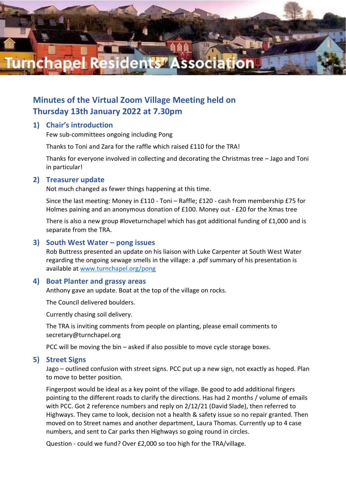

# **Minutes of the Virtual Zoom Village Meeting held on Thursday 13th January 2022 at 7.30pm**

# **1) Chair's introduction**

Few sub-committees ongoing including Pong

Thanks to Toni and Zara for the raffle which raised £110 for the TRA!

Thanks for everyone involved in collecting and decorating the Christmas tree – Jago and Toni in particular!

#### **2) Treasurer update**

Not much changed as fewer things happening at this time.

Since the last meeting: Money in £110 - Toni – Raffle; £120 - cash from membership £75 for Holmes paining and an anonymous donation of £100. Money out - £20 for the Xmas tree

There is also a new group #loveturnchapel which has got additional funding of £1,000 and is separate from the TRA.

### **3) South West Water – pong issues**

Rob Buttress presented an update on his liaison with Luke Carpenter at South West Water regarding the ongoing sewage smells in the village: a .pdf summary of his presentation is available at [www.turnchapel.org/pong](https://turnchapel.org/pong)

#### **4) Boat Planter and grassy areas**

Anthony gave an update. Boat at the top of the village on rocks.

The Council delivered boulders.

Currently chasing soil delivery.

The TRA is inviting comments from people on planting, please email comments to secretary@turnchapel.org

PCC will be moving the bin – asked if also possible to move cycle storage boxes.

#### **5) Street Signs**

Jago – outlined confusion with street signs. PCC put up a new sign, not exactly as hoped. Plan to move to better position.

Fingerpost would be ideal as a key point of the village. Be good to add additional fingers pointing to the different roads to clarify the directions. Has had 2 months / volume of emails with PCC. Got 2 reference numbers and reply on 2/12/21 (David Slade), then referred to Highways. They came to look, decision not a health & safety issue so no repair granted. Then moved on to Street names and another department, Laura Thomas. Currently up to 4 case numbers, and sent to Car parks then Highways so going round in circles.

Question - could we fund? Over £2,000 so too high for the TRA/village.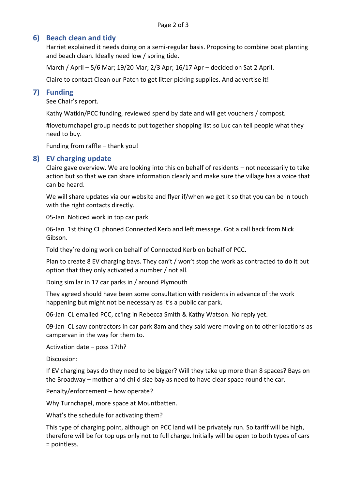# **6) Beach clean and tidy**

Harriet explained it needs doing on a semi-regular basis. Proposing to combine boat planting and beach clean. Ideally need low / spring tide.

March / April – 5/6 Mar; 19/20 Mar; 2/3 Apr; 16/17 Apr – decided on Sat 2 April.

Claire to contact Clean our Patch to get litter picking supplies. And advertise it!

# **7) Funding**

See Chair's report.

Kathy Watkin/PCC funding, reviewed spend by date and will get vouchers / compost.

#loveturnchapel group needs to put together shopping list so Luc can tell people what they need to buy.

Funding from raffle – thank you!

# **8) EV charging update**

Claire gave overview. We are looking into this on behalf of residents – not necessarily to take action but so that we can share information clearly and make sure the village has a voice that can be heard.

We will share updates via our website and flyer if/when we get it so that you can be in touch with the right contacts directly.

05-Jan Noticed work in top car park

06-Jan 1st thing CL phoned Connected Kerb and left message. Got a call back from Nick Gibson.

Told they're doing work on behalf of Connected Kerb on behalf of PCC.

Plan to create 8 EV charging bays. They can't / won't stop the work as contracted to do it but option that they only activated a number / not all.

Doing similar in 17 car parks in / around Plymouth

They agreed should have been some consultation with residents in advance of the work happening but might not be necessary as it's a public car park.

06-Jan CL emailed PCC, cc'ing in Rebecca Smith & Kathy Watson. No reply yet.

09-Jan CL saw contractors in car park 8am and they said were moving on to other locations as campervan in the way for them to.

Activation date – poss 17th?

Discussion:

If EV charging bays do they need to be bigger? Will they take up more than 8 spaces? Bays on the Broadway – mother and child size bay as need to have clear space round the car.

Penalty/enforcement – how operate?

Why Turnchapel, more space at Mountbatten.

What's the schedule for activating them?

This type of charging point, although on PCC land will be privately run. So tariff will be high, therefore will be for top ups only not to full charge. Initially will be open to both types of cars = pointless.